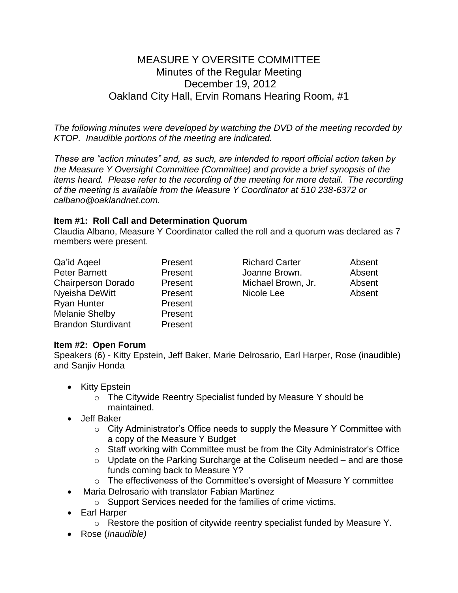# MEASURE Y OVERSITE COMMITTEE Minutes of the Regular Meeting December 19, 2012 Oakland City Hall, Ervin Romans Hearing Room, #1

*The following minutes were developed by watching the DVD of the meeting recorded by KTOP. Inaudible portions of the meeting are indicated.* 

*These are "action minutes" and, as such, are intended to report official action taken by the Measure Y Oversight Committee (Committee) and provide a brief synopsis of the items heard. Please refer to the recording of the meeting for more detail. The recording of the meeting is available from the Measure Y Coordinator at 510 238-6372 or calbano@oaklandnet.com.*

# **Item #1: Roll Call and Determination Quorum**

Claudia Albano, Measure Y Coordinator called the roll and a quorum was declared as 7 members were present.

| Present |
|---------|
| Present |
| Present |
| Present |
| Present |
| Present |
| Present |
|         |

Richard Carter **Absent** Joanne Brown. **Absent** Michael Brown, Jr. Absent Nicole Lee **Absent** 

# **Item #2: Open Forum**

Speakers (6) - Kitty Epstein, Jeff Baker, Marie Delrosario, Earl Harper, Rose (inaudible) and Sanjiv Honda

- Kitty Epstein
	- o The Citywide Reentry Specialist funded by Measure Y should be maintained.
- Jeff Baker
	- o City Administrator's Office needs to supply the Measure Y Committee with a copy of the Measure Y Budget
	- o Staff working with Committee must be from the City Administrator's Office
	- o Update on the Parking Surcharge at the Coliseum needed and are those funds coming back to Measure Y?
	- o The effectiveness of the Committee's oversight of Measure Y committee
- Maria Delrosario with translator Fabian Martinez
	- o Support Services needed for the families of crime victims.
- Earl Harper
	- o Restore the position of citywide reentry specialist funded by Measure Y.
- Rose (*Inaudible)*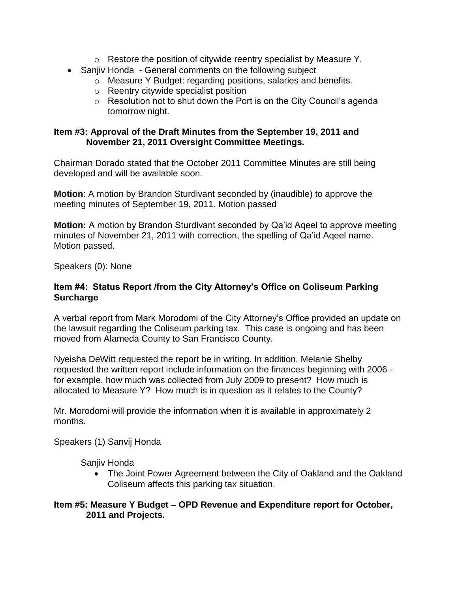- o Restore the position of citywide reentry specialist by Measure Y.
- Sanjiv Honda General comments on the following subject
	- o Measure Y Budget: regarding positions, salaries and benefits.
	- o Reentry citywide specialist position
	- $\circ$  Resolution not to shut down the Port is on the City Council's agenda tomorrow night.

#### **Item #3: Approval of the Draft Minutes from the September 19, 2011 and November 21, 2011 Oversight Committee Meetings.**

Chairman Dorado stated that the October 2011 Committee Minutes are still being developed and will be available soon.

**Motion**: A motion by Brandon Sturdivant seconded by (inaudible) to approve the meeting minutes of September 19, 2011. Motion passed

**Motion:** A motion by Brandon Sturdivant seconded by Qa'id Aqeel to approve meeting minutes of November 21, 2011 with correction, the spelling of Qa'id Aqeel name. Motion passed.

Speakers (0): None

# **Item #4: Status Report /from the City Attorney's Office on Coliseum Parking Surcharge**

A verbal report from Mark Morodomi of the City Attorney's Office provided an update on the lawsuit regarding the Coliseum parking tax. This case is ongoing and has been moved from Alameda County to San Francisco County.

Nyeisha DeWitt requested the report be in writing. In addition, Melanie Shelby requested the written report include information on the finances beginning with 2006 for example, how much was collected from July 2009 to present? How much is allocated to Measure Y? How much is in question as it relates to the County?

Mr. Morodomi will provide the information when it is available in approximately 2 months.

Speakers (1) Sanvij Honda

Sanjiv Honda

• The Joint Power Agreement between the City of Oakland and the Oakland Coliseum affects this parking tax situation.

# **Item #5: Measure Y Budget – OPD Revenue and Expenditure report for October, 2011 and Projects.**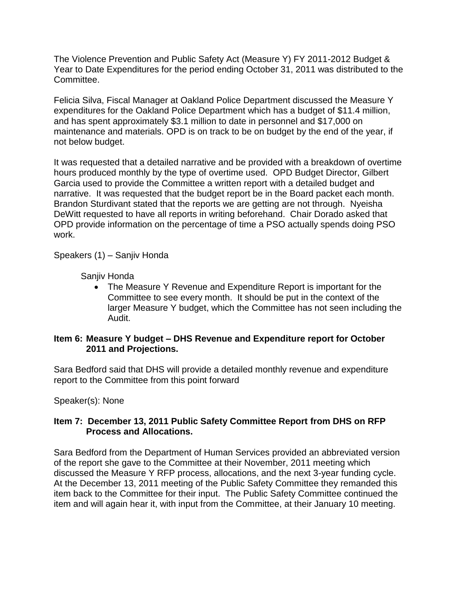The Violence Prevention and Public Safety Act (Measure Y) FY 2011-2012 Budget & Year to Date Expenditures for the period ending October 31, 2011 was distributed to the Committee.

Felicia Silva, Fiscal Manager at Oakland Police Department discussed the Measure Y expenditures for the Oakland Police Department which has a budget of \$11.4 million, and has spent approximately \$3.1 million to date in personnel and \$17,000 on maintenance and materials. OPD is on track to be on budget by the end of the year, if not below budget.

It was requested that a detailed narrative and be provided with a breakdown of overtime hours produced monthly by the type of overtime used. OPD Budget Director, Gilbert Garcia used to provide the Committee a written report with a detailed budget and narrative. It was requested that the budget report be in the Board packet each month. Brandon Sturdivant stated that the reports we are getting are not through. Nyeisha DeWitt requested to have all reports in writing beforehand. Chair Dorado asked that OPD provide information on the percentage of time a PSO actually spends doing PSO work.

Speakers (1) – Sanjiv Honda

Sanjiv Honda

 The Measure Y Revenue and Expenditure Report is important for the Committee to see every month. It should be put in the context of the larger Measure Y budget, which the Committee has not seen including the Audit.

#### **Item 6: Measure Y budget – DHS Revenue and Expenditure report for October 2011 and Projections.**

Sara Bedford said that DHS will provide a detailed monthly revenue and expenditure report to the Committee from this point forward

Speaker(s): None

#### **Item 7: December 13, 2011 Public Safety Committee Report from DHS on RFP Process and Allocations.**

Sara Bedford from the Department of Human Services provided an abbreviated version of the report she gave to the Committee at their November, 2011 meeting which discussed the Measure Y RFP process, allocations, and the next 3-year funding cycle. At the December 13, 2011 meeting of the Public Safety Committee they remanded this item back to the Committee for their input. The Public Safety Committee continued the item and will again hear it, with input from the Committee, at their January 10 meeting.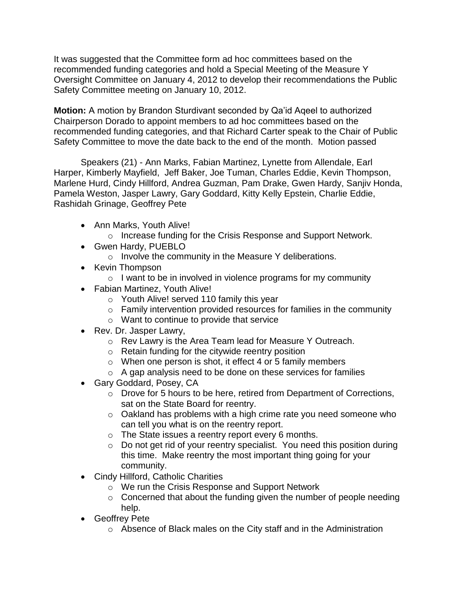It was suggested that the Committee form ad hoc committees based on the recommended funding categories and hold a Special Meeting of the Measure Y Oversight Committee on January 4, 2012 to develop their recommendations the Public Safety Committee meeting on January 10, 2012.

**Motion:** A motion by Brandon Sturdivant seconded by Qa'id Aqeel to authorized Chairperson Dorado to appoint members to ad hoc committees based on the recommended funding categories, and that Richard Carter speak to the Chair of Public Safety Committee to move the date back to the end of the month. Motion passed

Speakers (21) - Ann Marks, Fabian Martinez, Lynette from Allendale, Earl Harper, Kimberly Mayfield, Jeff Baker, Joe Tuman, Charles Eddie, Kevin Thompson, Marlene Hurd, Cindy Hillford, Andrea Guzman, Pam Drake, Gwen Hardy, Sanjiv Honda, Pamela Weston, Jasper Lawry, Gary Goddard, Kitty Kelly Epstein, Charlie Eddie, Rashidah Grinage, Geoffrey Pete

- Ann Marks, Youth Alive!
	- o Increase funding for the Crisis Response and Support Network.
- Gwen Hardy, PUEBLO
	- o Involve the community in the Measure Y deliberations.
- Kevin Thompson
	- $\circ$  I want to be in involved in violence programs for my community
- Fabian Martinez, Youth Alive!
	- o Youth Alive! served 110 family this year
	- o Family intervention provided resources for families in the community
	- o Want to continue to provide that service
- Rev. Dr. Jasper Lawry,
	- o Rev Lawry is the Area Team lead for Measure Y Outreach.
	- o Retain funding for the citywide reentry position
	- $\circ$  When one person is shot, it effect 4 or 5 family members
	- o A gap analysis need to be done on these services for families
- Gary Goddard, Posey, CA
	- o Drove for 5 hours to be here, retired from Department of Corrections, sat on the State Board for reentry.
	- o Oakland has problems with a high crime rate you need someone who can tell you what is on the reentry report.
	- o The State issues a reentry report every 6 months.
	- o Do not get rid of your reentry specialist. You need this position during this time. Make reentry the most important thing going for your community.
- Cindy Hillford, Catholic Charities
	- o We run the Crisis Response and Support Network
	- $\circ$  Concerned that about the funding given the number of people needing help.
- Geoffrey Pete
	- o Absence of Black males on the City staff and in the Administration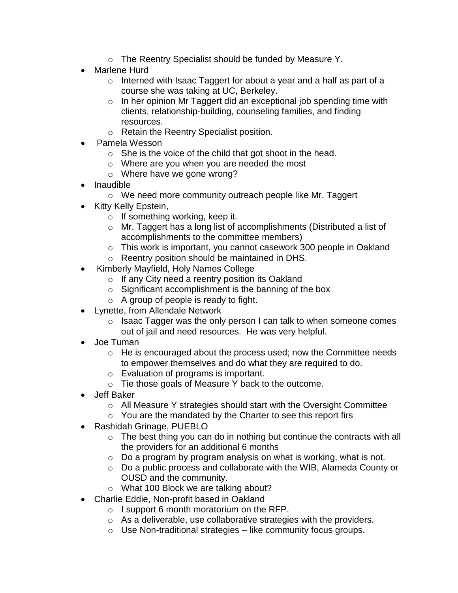- o The Reentry Specialist should be funded by Measure Y.
- Marlene Hurd
	- o Interned with Isaac Taggert for about a year and a half as part of a course she was taking at UC, Berkeley.
	- o In her opinion Mr Taggert did an exceptional job spending time with clients, relationship-building, counseling families, and finding resources.
	- o Retain the Reentry Specialist position.
- Pamela Wesson
	- $\circ$  She is the voice of the child that got shoot in the head.
	- o Where are you when you are needed the most
	- o Where have we gone wrong?
- Inaudible
	- o We need more community outreach people like Mr. Taggert
- Kitty Kelly Epstein,
	- $\circ$  If something working, keep it.
	- o Mr. Taggert has a long list of accomplishments (Distributed a list of accomplishments to the committee members)
	- o This work is important, you cannot casework 300 people in Oakland
	- o Reentry position should be maintained in DHS.
- Kimberly Mayfield, Holy Names College
	- o If any City need a reentry position its Oakland
	- $\circ$  Significant accomplishment is the banning of the box
	- o A group of people is ready to fight.
- Lynette, from Allendale Network
	- o Isaac Tagger was the only person I can talk to when someone comes out of jail and need resources. He was very helpful.
- Joe Tuman
	- o He is encouraged about the process used; now the Committee needs to empower themselves and do what they are required to do.
	- o Evaluation of programs is important.
	- o Tie those goals of Measure Y back to the outcome.
- Jeff Baker
	- o All Measure Y strategies should start with the Oversight Committee
	- o You are the mandated by the Charter to see this report firs
- Rashidah Grinage, PUEBLO
	- $\circ$  The best thing you can do in nothing but continue the contracts with all the providers for an additional 6 months
	- $\circ$  Do a program by program analysis on what is working, what is not.
	- o Do a public process and collaborate with the WIB, Alameda County or OUSD and the community.
	- o What 100 Block we are talking about?
- Charlie Eddie, Non-profit based in Oakland
	- $\circ$  I support 6 month moratorium on the RFP.
	- o As a deliverable, use collaborative strategies with the providers.
	- $\circ$  Use Non-traditional strategies like community focus groups.